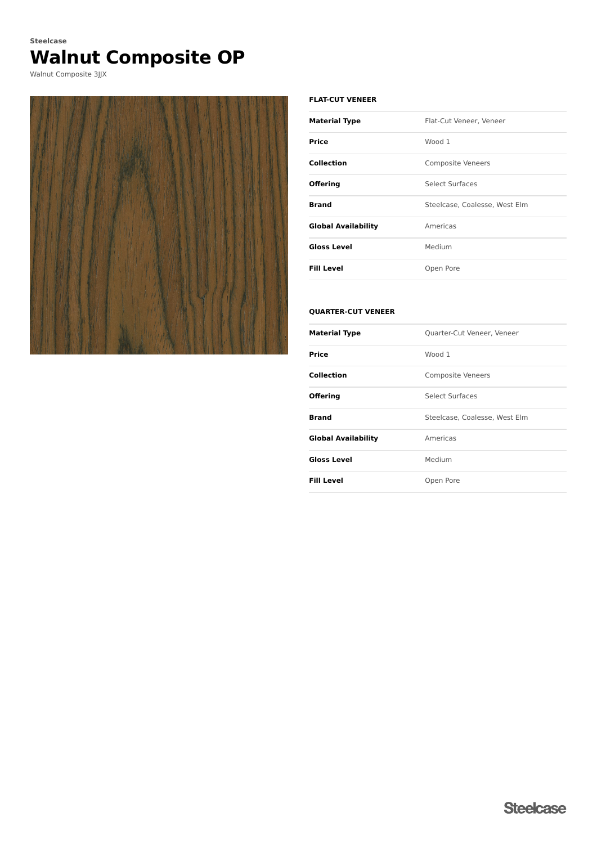# **Walnut Composite OP Steelcase**

Walnut Composite 3JJX



#### **FLAT-CUT VENEER**

| <b>Material Type</b>       | Flat-Cut Veneer, Veneer       |
|----------------------------|-------------------------------|
| Price                      | Wood 1                        |
| <b>Collection</b>          | <b>Composite Veneers</b>      |
| <b>Offering</b>            | Select Surfaces               |
| <b>Brand</b>               | Steelcase, Coalesse, West Elm |
| <b>Global Availability</b> | Americas                      |
| <b>Gloss Level</b>         | Medium                        |
| <b>Fill Level</b>          | Open Pore                     |

#### **QUARTER-CUT VENEER**

| <b>Material Type</b>       | Quarter-Cut Veneer, Veneer    |
|----------------------------|-------------------------------|
| Price                      | Wood 1                        |
| Collection                 | <b>Composite Veneers</b>      |
| <b>Offering</b>            | Select Surfaces               |
| Brand                      | Steelcase, Coalesse, West Elm |
| <b>Global Availability</b> | Americas                      |
| <b>Gloss Level</b>         | Medium                        |
| <b>Fill Level</b>          | Open Pore                     |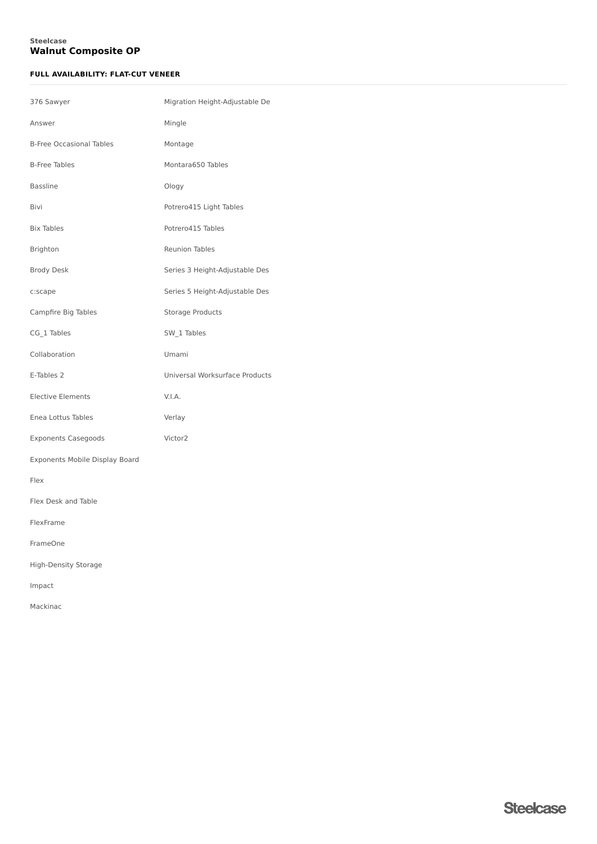## **Walnut Composite OP Steelcase**

## **FULL AVAILABILITY: FLAT-CUT VENEER**

| 376 Sawyer                      | Migration Height-Adjustable De |
|---------------------------------|--------------------------------|
| Answer                          | Mingle                         |
| <b>B-Free Occasional Tables</b> | Montage                        |
| <b>B-Free Tables</b>            | Montara650 Tables              |
| Bassline                        | Ology                          |
| Bivi                            | Potrero415 Light Tables        |
| <b>Bix Tables</b>               | Potrero415 Tables              |
| Brighton                        | Reunion Tables                 |
| <b>Brody Desk</b>               | Series 3 Height-Adjustable Des |
| c:scape                         | Series 5 Height-Adjustable Des |
| Campfire Big Tables             | Storage Products               |
| CG_1 Tables                     | SW_1 Tables                    |
| Collaboration                   | Umami                          |
| E-Tables 2                      | Universal Worksurface Products |
| Elective Elements               | V.I.A.                         |
| Enea Lottus Tables              | Verlay                         |
| <b>Exponents Casegoods</b>      | Victor2                        |
| Exponents Mobile Display Board  |                                |
| Flex                            |                                |
| Flex Desk and Table             |                                |
| FlexFrame                       |                                |
| FrameOne                        |                                |
| High-Density Storage            |                                |
| Impact                          |                                |
| Mackinac                        |                                |
|                                 |                                |